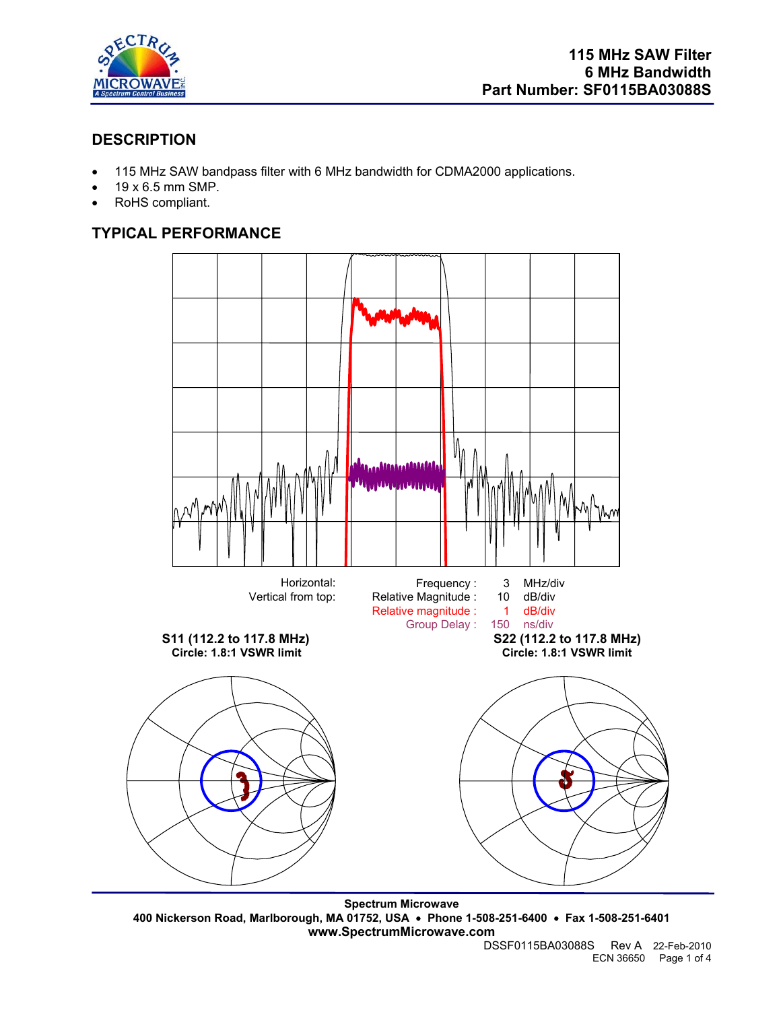

# **DESCRIPTION**

- 115 MHz SAW bandpass filter with 6 MHz bandwidth for CDMA2000 applications.
- 19 x 6.5 mm SMP.
- RoHS compliant.

# **TYPICAL PERFORMANCE**



**Spectrum Microwave 400 Nickerson Road, Marlborough, MA 01752, USA** • **Phone 1-508-251-6400** • **Fax 1-508-251-6401 www.SpectrumMicrowave.com** 

DSSF0115BA03088S Rev A 22-Feb-2010 ECN 36650 Page 1 of 4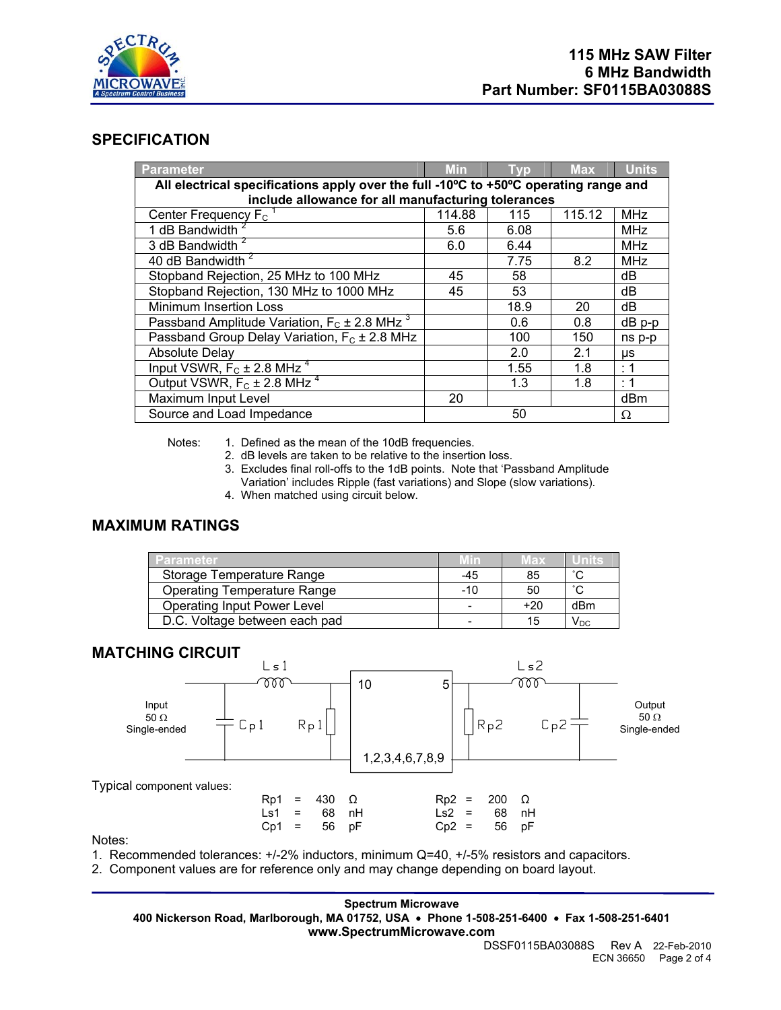

## **SPECIFICATION**

| <b>Parameter</b>                                                                     | <b>Min</b> | <b>Tvp</b> | Max.   | <b>Units</b> |  |  |
|--------------------------------------------------------------------------------------|------------|------------|--------|--------------|--|--|
| All electrical specifications apply over the full -10°C to +50°C operating range and |            |            |        |              |  |  |
| include allowance for all manufacturing tolerances                                   |            |            |        |              |  |  |
| Center Frequency $F_c$                                                               | 114.88     | 115        | 115.12 | <b>MHz</b>   |  |  |
| 1 dB Bandwidth <sup>2</sup>                                                          | 5.6        | 6.08       |        | MHz          |  |  |
| 3 dB Bandwidth <sup>2</sup>                                                          | 6.0        | 6.44       |        | <b>MHz</b>   |  |  |
| 40 dB Bandwidth <sup>2</sup>                                                         |            | 7.75       | 8.2    | <b>MHz</b>   |  |  |
| Stopband Rejection, 25 MHz to 100 MHz                                                | 45         | 58         |        | dB           |  |  |
| Stopband Rejection, 130 MHz to 1000 MHz                                              | 45         | 53         |        | dB           |  |  |
| <b>Minimum Insertion Loss</b>                                                        |            | 18.9       | 20     | dB           |  |  |
| Passband Amplitude Variation, $F_c \pm 2.8$ MHz <sup>3</sup>                         |            | 0.6        | 0.8    | $dB$ $p-p$   |  |  |
| Passband Group Delay Variation, $F_c \pm 2.8$ MHz                                    |            | 100        | 150    | ns p-p       |  |  |
| <b>Absolute Delay</b>                                                                |            | 2.0        | 2.1    | μs           |  |  |
| Input VSWR, $F_C \pm 2.8$ MHz <sup>4</sup>                                           |            | 1.55       | 1.8    | : 1          |  |  |
| Output VSWR, $F_C \pm 2.8$ MHz <sup>4</sup>                                          |            | 1.3        | 1.8    | : 1          |  |  |
| Maximum Input Level                                                                  | 20         |            |        | dBm          |  |  |
| Source and Load Impedance                                                            |            | 50         |        | Ω            |  |  |

Notes: 1. Defined as the mean of the 10dB frequencies.

2. dB levels are taken to be relative to the insertion loss.

- 3. Excludes final roll-offs to the 1dB points. Note that 'Passband Amplitude Variation' includes Ripple (fast variations) and Slope (slow variations).
- 4. When matched using circuit below.

# **MAXIMUM RATINGS**

| <b>Parameter</b>                   | /Min/ | Max   | dniie                    |
|------------------------------------|-------|-------|--------------------------|
| Storage Temperature Range          | -45   | 85    | $\sim$                   |
| <b>Operating Temperature Range</b> | -10   | 50    | $\sim$                   |
| <b>Operating Input Power Level</b> |       | $+20$ | dBm                      |
| D.C. Voltage between each pad      |       | 15    | $\mathsf{V}_\mathsf{DC}$ |

## **MATCHING CIRCUIT**



Notes:

1. Recommended tolerances: +/-2% inductors, minimum Q=40, +/-5% resistors and capacitors.

2. Component values are for reference only and may change depending on board layout.

### **Spectrum Microwave**

**400 Nickerson Road, Marlborough, MA 01752, USA** • **Phone 1-508-251-6400** • **Fax 1-508-251-6401 www.SpectrumMicrowave.com**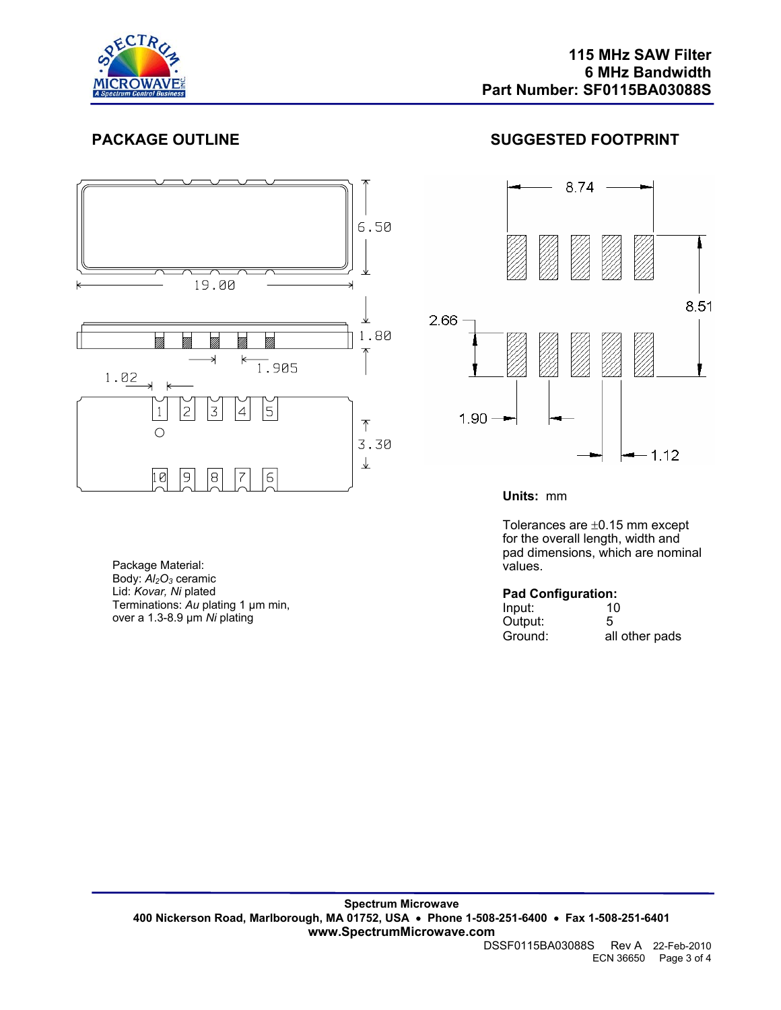



# **PACKAGE OUTLINE SUGGESTED FOOTPRINT**



**Units:** mm

Tolerances are ±0.15 mm except for the overall length, width and pad dimensions, which are nominal values.

## **Pad Configuration:**

| --<br>Input: | 10             |
|--------------|----------------|
| Output:      | 5              |
| Ground:      | all other pads |

### DSSF0115BA03088S Rev A 22-Feb-2010 ECN 36650 Page 3 of 4

Package Material: Body:  $\overline{AI_2O_3}$  ceramic Lid: *Kovar, Ni* plated Terminations: *Au* plating 1 µm min, over a 1.3-8.9 µm *Ni* plating